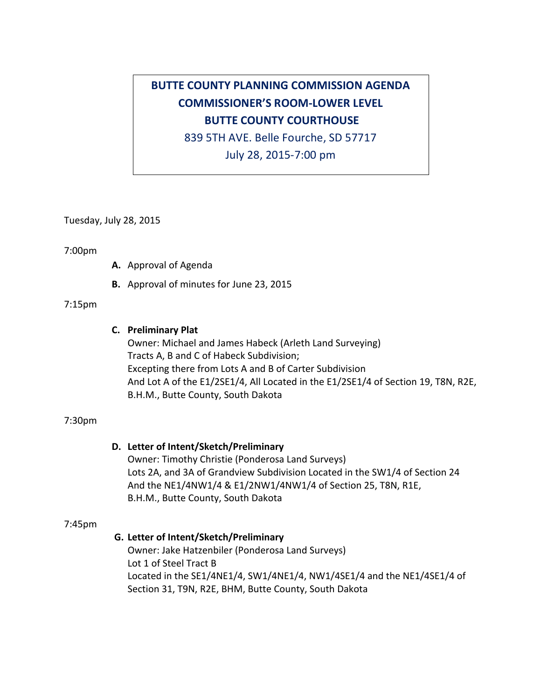# **BUTTE COUNTY PLANNING COMMISSION AGENDA COMMISSIONER'S ROOM-LOWER LEVEL BUTTE COUNTY COURTHOUSE**

839 5TH AVE. Belle Fourche, SD 57717

July 28, 2015-7:00 pm

Tuesday, July 28, 2015

#### 7:00pm

- A. Approval of Agenda
- **B.** Approval of minutes for June 23, 2015

#### 7:15pm

### **C. Preliminary Plat**

Owner: Michael and James Habeck (Arleth Land Surveying) Tracts A, B and C of Habeck Subdivision; Excepting there from Lots A and B of Carter Subdivision And Lot A of the E1/2SE1/4, All Located in the E1/2SE1/4 of Section 19, T8N, R2E, B.H.M., Butte County, South Dakota

#### 7:30pm

## **D. Letter of Intent/Sketch/Preliminary**

Owner: Timothy Christie (Ponderosa Land Surveys) Lots 2A, and 3A of Grandview Subdivision Located in the SW1/4 of Section 24 And the NE1/4NW1/4 & E1/2NW1/4NW1/4 of Section 25, T8N, R1E, B.H.M., Butte County, South Dakota

#### 7:45pm

## **G. Letter of Intent/Sketch/Preliminary**

Owner: Jake Hatzenbiler (Ponderosa Land Surveys) Lot 1 of Steel Tract B Located in the SE1/4NE1/4, SW1/4NE1/4, NW1/4SE1/4 and the NE1/4SE1/4 of Section 31, T9N, R2E, BHM, Butte County, South Dakota